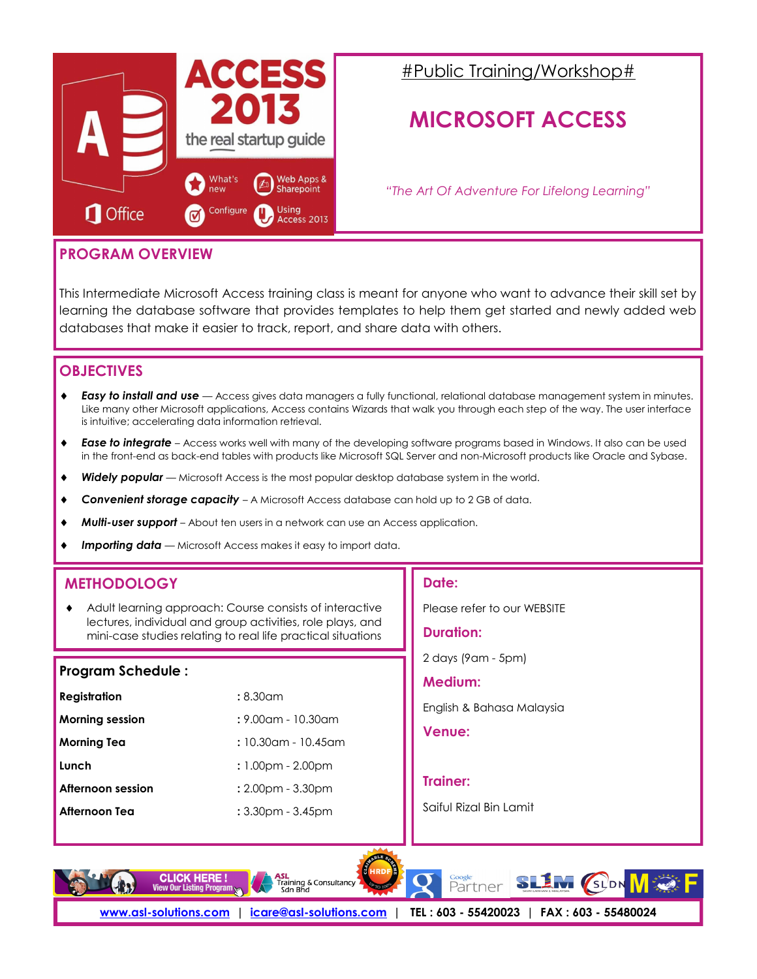

# #Public Training/Workshop#

# **MICROSOFT ACCESS**

*"The Art Of Adventure For Lifelong Learning"*

## **PROGRAM OVERVIEW**

This Intermediate Microsoft Access training class is meant for anyone who want to advance their skill set by learning the database software that provides templates to help them get started and newly added web databases that make it easier to track, report, and share data with others.

## **OBJECTIVES**

- *Easy to install and use* Access gives data managers a fully functional, relational database management system in minutes. Like many other Microsoft applications, Access contains Wizards that walk you through each step of the way. The user interface is intuitive; accelerating data information retrieval.
- *Ease to integrate* Access works well with many of the developing software programs based in Windows. It also can be used in the front-end as back-end tables with products like Microsoft SQL Server and non-Microsoft products like Oracle and Sybase.
- *Widely popular* Microsoft Access is the most popular desktop database system in the world.
- **Convenient storage capacity** A Microsoft Access database can hold up to 2 GB of data.
- *Multi-user support* About ten users in a network can use an Access application.
- *Importing data* Microsoft Access makes it easy to import data.

## **METHODOLOGY**

 Adult learning approach: Course consists of interactive lectures, individual and group activities, role plays, and mini-case studies relating to real life practical situations

#### **Program Schedule :**

| <b>Registration</b>    | :8.30cm                 |
|------------------------|-------------------------|
| <b>Morning session</b> | $: 9.00$ am - 10.30am   |
| <b>Morning Tea</b>     | : 10.30am - 10.45am     |
| Lunch                  | $: 1.00$ pm - 2.00pm    |
| Afternoon session      | $: 2.00pm - 3.30pm$     |
| Afternoon Tea          | $: 3.30$ pm - $3.45$ pm |

#### **Date:**

Please refer to our WEBSITE

**Duration:** 

2 days (9am - 5pm)

#### **Medium:**

English & Bahasa Malaysia

**Venue:** 

#### **Trainer:**

Saiful Rizal Bin Lamit

**Google**<br>Partner

**SLEM** (SLDN





**[www.asl-solutions.com](http://www.asl-solutions.com) | [icare@asl-solutions.com](mailto:icare@asl-solutions.com) | TEL : 603 - 55420023 | FAX : 603 - 55480024**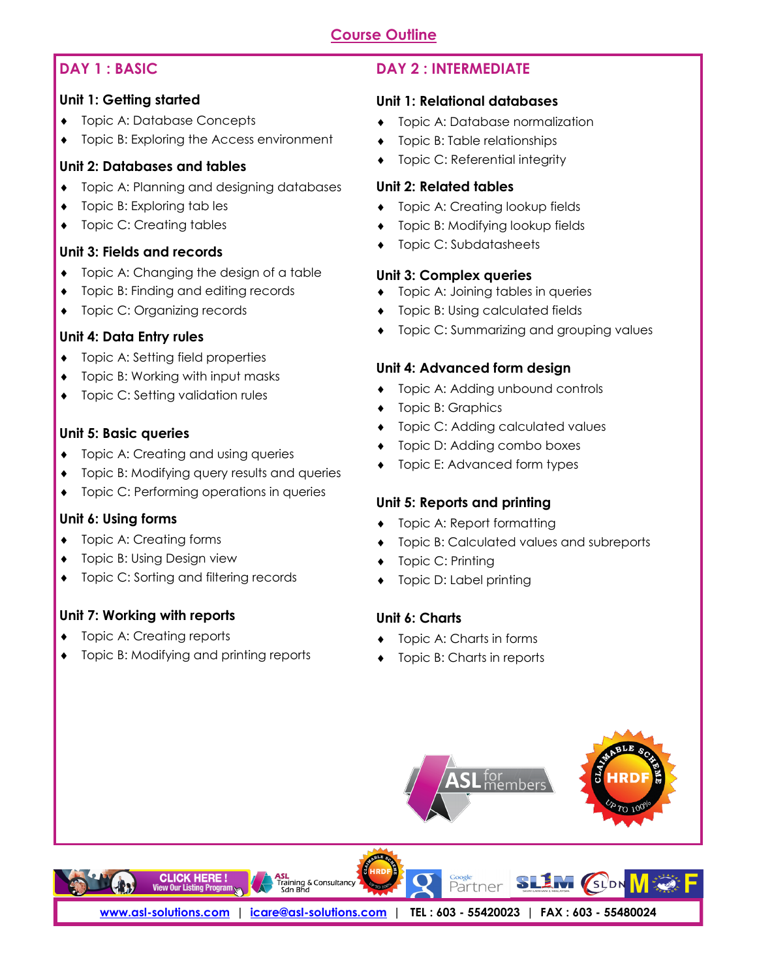## **Course Outline**

### **DAY 1 : BASIC**

#### **Unit 1: Getting started**

- **Topic A: Database Concepts**
- Topic B: Exploring the Access environment

#### **Unit 2: Databases and tables**

- Topic A: Planning and designing databases
- Topic B: Exploring tab les
- Topic C: Creating tables

### **Unit 3: Fields and records**

- Topic A: Changing the design of a table
- Topic B: Finding and editing records
- ◆ Topic C: Organizing records

### **Unit 4: Data Entry rules**

- ◆ Topic A: Setting field properties
- Topic B: Working with input masks
- ◆ Topic C: Setting validation rules

#### **Unit 5: Basic queries**

- **•** Topic A: Creating and using queries
- Topic B: Modifying query results and queries
- ◆ Topic C: Performing operations in queries

#### **Unit 6: Using forms**

- Topic A: Creating forms
- Topic B: Using Design view
- Topic C: Sorting and filtering records

## **Unit 7: Working with reports**

- Topic A: Creating reports
- ◆ Topic B: Modifying and printing reports

# **DAY 2 : INTERMEDIATE**

#### **Unit 1: Relational databases**

- **+** Topic A: Database normalization
- Topic B: Table relationships
- Topic C: Referential integrity

#### **Unit 2: Related tables**

- ◆ Topic A: Creating lookup fields
- ◆ Topic B: Modifying lookup fields
- ◆ Topic C: Subdatasheets

#### **Unit 3: Complex queries**

- Topic A: Joining tables in queries
- **Topic B: Using calculated fields**
- Topic C: Summarizing and grouping values

### **Unit 4: Advanced form design**

- ◆ Topic A: Adding unbound controls
- Topic B: Graphics
- ◆ Topic C: Adding calculated values
- **Topic D: Adding combo boxes**
- Topic E: Advanced form types

#### **Unit 5: Reports and printing**

- Topic A: Report formatting
- **•** Topic B: Calculated values and subreports
- Topic C: Printing
- Topic D: Label printing

## **Unit 6: Charts**

- Topic A: Charts in forms
- Topic B: Charts in reports

Partner



**[www.asl-solutions.com](http://www.asl-solutions.com) | [icare@asl-solutions.com](mailto:icare@asl-solutions.com) | TEL : 603 - 55420023 | FAX : 603 - 55480024**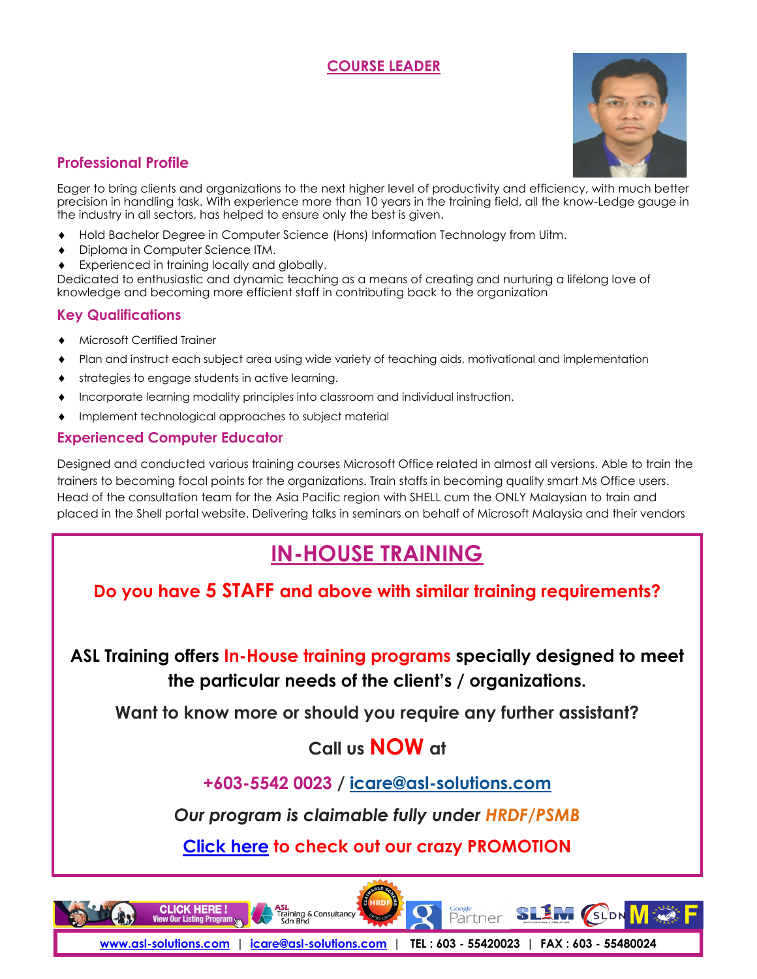## **COURSE LEADER**



## **Professional Profile**

Eager to bring clients and organizations to the next higher level of productivity and efficiency, with much better precision in handling task. With experience more than 10 years in the training field, all the know-Ledge gauge in the industry in all sectors, has helped to ensure only the best is given.

- Hold Bachelor Degree in Computer Science (Hons) Information Technology from Uitm.
- Diploma in Computer Science ITM.
- Experienced in training locally and globally.

Dedicated to enthusiastic and dynamic teaching as a means of creating and nurturing a lifelong love of knowledge and becoming more efficient staff in contributing back to the organization

### **Key Qualifications**

- Microsoft Certified Trainer
- Plan and instruct each subject area using wide variety of teaching aids, motivational and implementation
- strategies to engage students in active learning.
- Incorporate learning modality principles into classroom and individual instruction.
- Implement technological approaches to subject material

### **Experienced Computer Educator**

Designed and conducted various training courses Microsoft Office related in almost all versions. Able to train the trainers to becoming focal points for the organizations. Train staffs in becoming quality smart Ms Office users. Head of the consultation team for the Asia Pacific region with SHELL cum the ONLY Malaysian to train and placed in the Shell portal website. Delivering talks in seminars on behalf of Microsoft Malaysia and their vendors

# **[IN-HOUSE TRAINING](http://www.asl-solutions.com/corporate-training/in-house-training/)**

**Do you have 5 STAFF and above with similar training requirements?**

**ASL Training offers In-House training programs specially designed to meet the particular needs of the client's / organizations.**

**Want to know more or should you require any further assistant?**

# **Call us NOW at**

**+603-5542 0023 / icare@asl-solutions.com**

*Our program is claimable fully under HRDF/PSMB*

**[Click here](http://asl-solutions.com/publictraining) to check out our crazy PROMOTION**